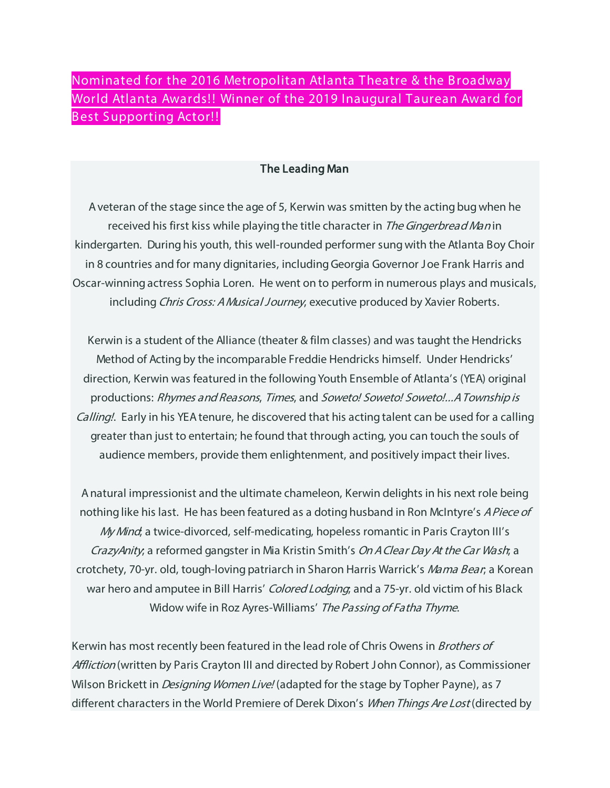## Nominated for the 2016 Metropolitan Atlanta Theatre & the Broadway World Atlanta Awards!! Winner of the 2019 Inaugural Taurean Award for **Best Supporting Actor!!**

## The Leading Man

A veteran of the stage since the age of 5, Kerwin was smitten by the acting bug when he received his first kiss while playing the title character in The Gingerbread Man in kindergarten. During his youth, this well-rounded performer sung with the Atlanta Boy Choir in 8 countries and for many dignitaries, including Georgia Governor J oe Frank Harris and Oscar-winning actress Sophia Loren. He went on to perform in numerous plays and musicals, including Chris Cross: A Musical Journey, executive produced by Xavier Roberts.

Kerwin is a student of the Alliance (theater & film classes) and was taught the Hendricks Method of Acting by the incomparable Freddie Hendricks himself. Under Hendricks' direction, Kerwin was featured in the following Youth Ensemble of Atlanta's (YEA) original productions: Rhymes and Reasons, Times, and Soweto! Soweto! Soweto!...A Township is Calling!. Early in his YEA tenure, he discovered that his acting talent can be used for a calling greater than just to entertain; he found that through acting, you can touch the souls of audience members, provide them enlightenment, and positively impact their lives.

A natural impressionist and the ultimate chameleon, Kerwin delights in his next role being nothing like his last. He has been featured as a doting husband in Ron McIntyre's A Piece of My Mind; a twice-divorced, self-medicating, hopeless romantic in Paris Crayton III's CrazyAnity; a reformed gangster in Mia Kristin Smith's On A Clear Day At the Car Wash; a crotchety, 70-yr. old, tough-loving patriarch in Sharon Harris Warrick's Mama Bear; a Korean war hero and amputee in Bill Harris' Colored Lodging, and a 75-yr. old victim of his Black Widow wife in Roz Ayres-Williams' The Passing of Fatha Thyme.

Kerwin has most recently been featured in the lead role of Chris Owens in *Brothers of* Affliction (written by Paris Crayton III and directed by Robert John Connor), as Commissioner Wilson Brickett in *Designing Women Live!* (adapted for the stage by Topher Payne), as 7 different characters in the World Premiere of Derek Dixon's *When Things Are Lost* (directed by